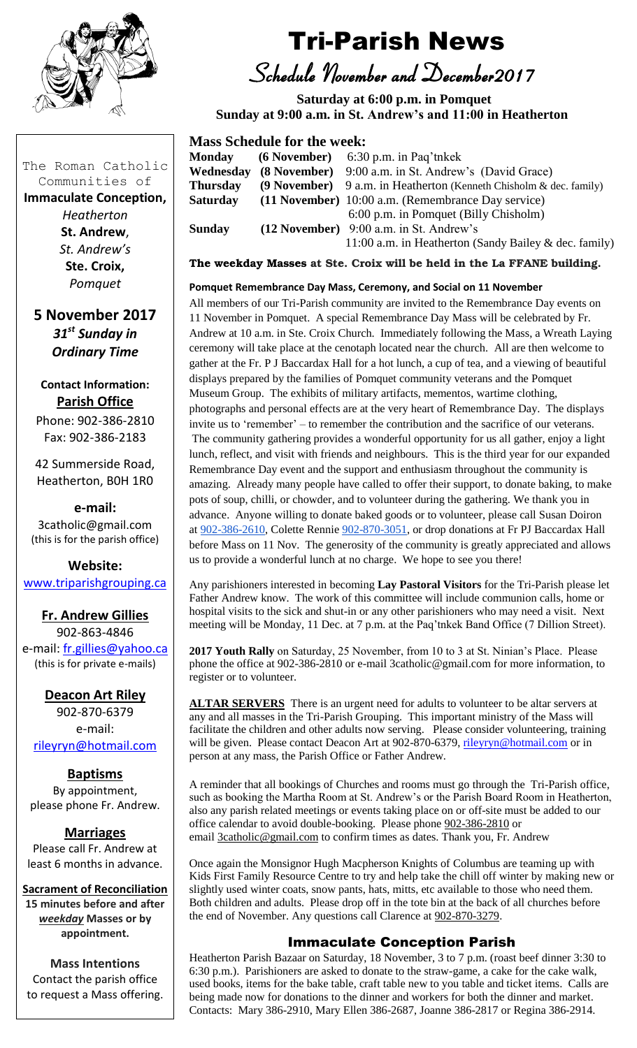

# Tri-Parish News

*Schedule November and December2017*

 **Saturday at 6:00 p.m. in Pomquet Sunday at 9:00 a.m. in St. Andrew's and 11:00 in Heatherton** 

## **Mass Schedule for the week:**

| <b>Monday</b>   | $(6$ November) $6:30$ p.m. in Paq'tnkek                            |
|-----------------|--------------------------------------------------------------------|
| Wednesday       | (8 November) 9:00 a.m. in St. Andrew's (David Grace)               |
| <b>Thursday</b> | (9 November) 9 a.m. in Heatherton (Kenneth Chisholm & dec. family) |
| <b>Saturday</b> | (11 November) 10:00 a.m. (Remembrance Day service)                 |
|                 | 6:00 p.m. in Pomquet (Billy Chisholm)                              |
| <b>Sunday</b>   | (12 November) 9:00 a.m. in St. Andrew's                            |
|                 | 11:00 a.m. in Heatherton (Sandy Bailey & dec. family)              |

**The weekday Masses at Ste. Croix will be held in the La FFANE building.**

#### **Pomquet Remembrance Day Mass, Ceremony, and Social on 11 November**

All members of our Tri-Parish community are invited to the Remembrance Day events on 11 November in Pomquet. A special Remembrance Day Mass will be celebrated by Fr. Andrew at 10 a.m. in Ste. Croix Church. Immediately following the Mass, a Wreath Laying ceremony will take place at the cenotaph located near the church. All are then welcome to gather at the Fr. P J Baccardax Hall for a hot lunch, a cup of tea, and a viewing of beautiful displays prepared by the families of Pomquet community veterans and the Pomquet Museum Group. The exhibits of military artifacts, mementos, wartime clothing, photographs and personal effects are at the very heart of Remembrance Day. The displays invite us to 'remember' – to remember the contribution and the sacrifice of our veterans. The community gathering provides a wonderful opportunity for us all gather, enjoy a light lunch, reflect, and visit with friends and neighbours. This is the third year for our expanded Remembrance Day event and the support and enthusiasm throughout the community is amazing. Already many people have called to offer their support, to donate baking, to make pots of soup, chilli, or chowder, and to volunteer during the gathering. We thank you in advance. Anyone willing to donate baked goods or to volunteer, please call Susan Doiron at [902-386-2610,](tel:(902)%20386-2610) Colette Rennie [902-870-3051,](tel:(902)%20870-3051) or drop donations at Fr PJ Baccardax Hall before Mass on 11 Nov. The generosity of the community is greatly appreciated and allows us to provide a wonderful lunch at no charge. We hope to see you there!

Any parishioners interested in becoming **Lay Pastoral Visitors** for the Tri-Parish please let Father Andrew know. The work of this committee will include communion calls, home or hospital visits to the sick and shut-in or any other parishioners who may need a visit. Next meeting will be Monday, 11 Dec. at 7 p.m. at the Paq'tnkek Band Office (7 Dillion Street).

**2017 Youth Rally** on Saturday, 25 November, from 10 to 3 at St. Ninian's Place. Please phone the office at 902-386-2810 or e-mail 3catholic@gmail.com for more information, to register or to volunteer.

ALTAR SERVERS There is an urgent need for adults to volunteer to be altar servers at any and all masses in the Tri-Parish Grouping. This important ministry of the Mass will facilitate the children and other adults now serving. Please consider volunteering, training will be given. Please contact Deacon Art at 902-870-6379, [rileyryn@hotmail.com](mailto:rileyryn@hotmail.com) or in person at any mass, the Parish Office or Father Andrew.

A reminder that all bookings of Churches and rooms must go through the Tri-Parish office, such as booking the Martha Room at St. Andrew's or the Parish Board Room in Heatherton, also any parish related meetings or events taking place on or off-site must be added to our office calendar to avoid double-booking. Please phone [902-386-2810](tel:(902)%20386-2810) or email [3catholic@gmail.com](mailto:3catholic@gmail.com) to confirm times as dates. Thank you, Fr. Andrew

Once again the Monsignor Hugh Macpherson Knights of Columbus are teaming up with Kids First Family Resource Centre to try and help take the chill off winter by making new or slightly used winter coats, snow pants, hats, mitts, etc available to those who need them. Both children and adults. Please drop off in the tote bin at the back of all churches before the end of November. Any questions call Clarence at [902-870-3279.](tel:(902)%20870-3279)

## Immaculate Conception Parish

Heatherton Parish Bazaar on Saturday, 18 November, 3 to 7 p.m. (roast beef dinner 3:30 to 6:30 p.m.). Parishioners are asked to donate to the straw-game, a cake for the cake walk, used books, items for the bake table, craft table new to you table and ticket items. Calls are being made now for donations to the dinner and workers for both the dinner and market. Contacts: Mary 386-2910, Mary Ellen 386-2687, Joanne 386-2817 or Regina 386-2914.

The Roman Catholic Communities of

**Immaculate Conception,**  *Heatherton*

**St. Andrew**, *St. Andrew's* **Ste. Croix,** *Pomquet*

**5 November 2017** *31st Sunday in Ordinary Time*

**Contact Information: Parish Office**

Phone: 902-386-2810 Fax: 902-386-2183

42 Summerside Road, Heatherton, B0H 1R0

**e-mail:** 3catholic@gmail.com (this is for the parish office)

**Website:** [www.triparishgrouping.ca](http://www.triparishgrouping.ca/)

## **Fr. Andrew Gillies**

902-863-4846 e-mail: [fr.gillies@yahoo.ca](mailto:fr.gillies@yahoo.ca) (this is for private e-mails)

**Deacon Art Riley** 902-870-6379 e-mail: [rileyryn@hotmail.com](mailto:rileyryn@hotmail.com)

**Baptisms** By appointment, please phone Fr. Andrew.

**Marriages** Please call Fr. Andrew at least 6 months in advance.

**Sacrament of Reconciliation**

**15 minutes before and after**  *weekday* **Masses or by appointment.**

**Mass Intentions** Contact the parish office to request a Mass offering.